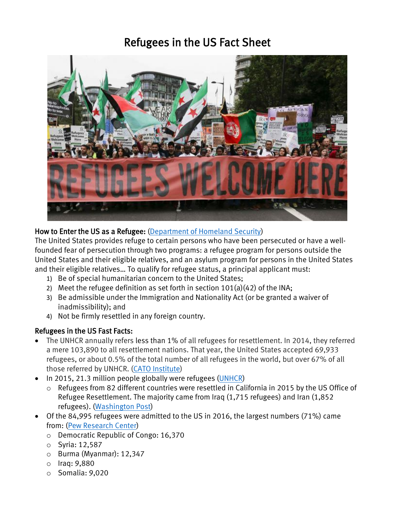# Refugees in the US Fact Sheet



### How to Enter the US as a Refugee: [\(Department of Homeland Security\)](https://www.dhs.gov/sites/default/files/publications/Refugees_Asylees_2015.pdf)

The United States provides refuge to certain persons who have been persecuted or have a wellfounded fear of persecution through two programs: a refugee program for persons outside the United States and their eligible relatives, and an asylum program for persons in the United States and their eligible relatives… To qualify for refugee status, a principal applicant must:

- 1) Be of special humanitarian concern to the United States;
- 2) Meet the refugee definition as set forth in section 101(a)(42) of the INA;
- 3) Be admissible under the Immigration and Nationality Act (or be granted a waiver of inadmissibility); and
- 4) Not be firmly resettled in any foreign country.

#### Refugees in the US Fast Facts:

- The UNHCR annually refers less than 1% of all refugees for resettlement. In 2014, they referred a mere 103,890 to all resettlement nations. That year, the United States accepted 69,933 refugees, or about 0.5% of the total number of all refugees in the world, but over 67% of all those referred by UNHCR. [\(CATO Institute\)](https://www.cato.org/blog/syrian-refugees-dont-pose-serious-security-threat)
- In 2015, 21.3 million people globally were refugees [\(UNHCR\)](http://www.unhcr.org/576408cd7.pdf)
	- o Refugees from 82 different countries were resettled in California in 2015 by the US Office of Refugee Resettlement. The majority came from Iraq (1,715 refugees) and Iran (1,852 refugees). [\(Washington Post\)](https://www.washingtonpost.com/news/politics/wp/2017/01/26/where-the-refugees-in-your-state-came-from-in-2015/?utm_term=.d6dff73fa0ac)
- Of the 84,995 refugees were admitted to the US in 2016, the largest numbers (71%) came from: [\(Pew Research Center\)](http://www.pewresearch.org/fact-tank/2017/02/03/where-refugees-to-the-u-s-come-from/)
	- o Democratic Republic of Congo: 16,370
	- o Syria: 12,587
	- o Burma (Myanmar): 12,347
	- o Iraq: 9,880
	- o Somalia: 9,020